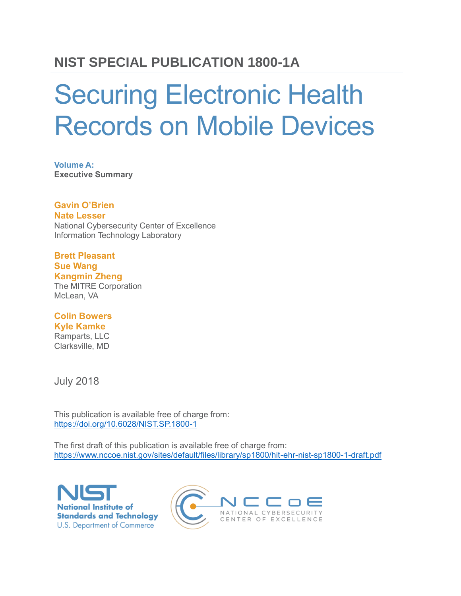### **NIST SPECIAL PUBLICATION 1800-1A**

# Securing Electronic Health Records on Mobile Devices

**Volume A: Executive Summary**

**Gavin O'Brien Nate Lesser** National Cybersecurity Center of Excellence Information Technology Laboratory

#### **Brett Pleasant**

**Sue Wang Kangmin Zheng**

The MITRE Corporation McLean, VA

#### **Colin Bowers Kyle Kamke**

Ramparts, LLC Clarksville, MD

July 2018

This publication is available free of charge from: <https://doi.org/10.6028/NIST.SP.1800-1>

The first draft of this publication is available free of charge from: <https://www.nccoe.nist.gov/sites/default/files/library/sp1800/hit-ehr-nist-sp1800-1-draft.pdf>



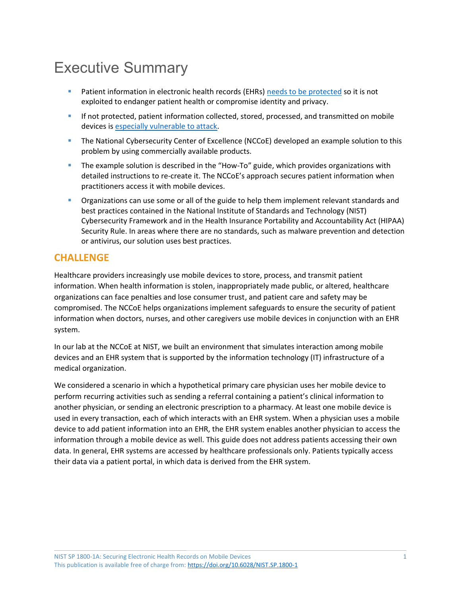## Executive Summary

- Patient information in electronic health records (EHRs[\) needs to be](https://media.scmagazine.com/documents/121/healthcare_privacy_security_be_30019.pdf) protected so it is not exploited to endanger patient health or compromise identity and privacy.
- **■** If not protected, patient information collected, stored, processed, and transmitted on mobile devices is [especially vulnerable to attack.](http://www.healthit.gov/buzz-blog/privacy-and-security-of-ehrs/mobile-devices-roundtable/)
- **EXP** The National Cybersecurity Center of Excellence (NCCoE) developed an example solution to this problem by using commercially available products.
- The example solution is described in the "How-To" guide, which provides organizations with detailed instructions to re-create it. The NCCoE's approach secures patient information when practitioners access it with mobile devices.
- Organizations can use some or all of the guide to help them implement relevant standards and best practices contained in the National Institute of Standards and Technology (NIST) Cybersecurity Framework and in the Health Insurance Portability and Accountability Act (HIPAA) Security Rule. In areas where there are no standards, such as malware prevention and detection or antivirus, our solution uses best practices.

#### **CHALLENGE**

Healthcare providers increasingly use mobile devices to store, process, and transmit patient information. When health information is stolen, inappropriately made public, or altered, healthcare organizations can face penalties and lose consumer trust, and patient care and safety may be compromised. The NCCoE helps organizations implement safeguards to ensure the security of patient information when doctors, nurses, and other caregivers use mobile devices in conjunction with an EHR system.

In our lab at the NCCoE at NIST, we built an environment that simulates interaction among mobile devices and an EHR system that is supported by the information technology (IT) infrastructure of a medical organization.

We considered a scenario in which a hypothetical primary care physician uses her mobile device to perform recurring activities such as sending a referral containing a patient's clinical information to another physician, or sending an electronic prescription to a pharmacy. At least one mobile device is used in every transaction, each of which interacts with an EHR system. When a physician uses a mobile device to add patient information into an EHR, the EHR system enables another physician to access the information through a mobile device as well. This guide does not address patients accessing their own data. In general, EHR systems are accessed by healthcare professionals only. Patients typically access their data via a patient portal, in which data is derived from the EHR system.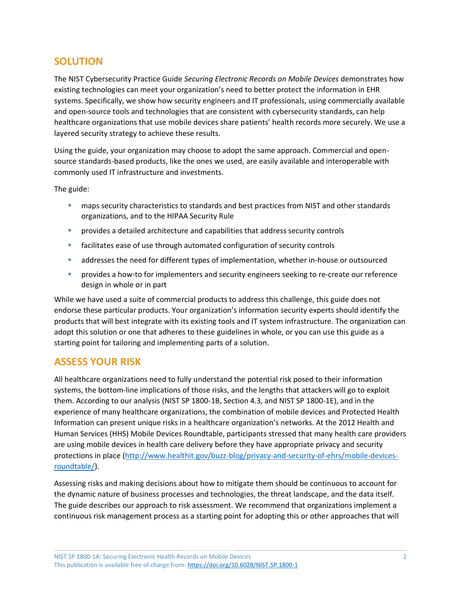#### **SOLUTION**

The NIST Cybersecurity Practice Guide *Securing Electronic Records on Mobile Devices* demonstrates how existing technologies can meet your organization's need to better protect the information in EHR systems. Specifically, we show how security engineers and IT professionals, using commercially available and open-source tools and technologies that are consistent with cybersecurity standards, can help healthcare organizations that use mobile devices share patients' health records more securely. We use a layered security strategy to achieve these results.

Using the guide, your organization may choose to adopt the same approach. Commercial and opensource standards-based products, like the ones we used, are easily available and interoperable with commonly used IT infrastructure and investments.

The guide:

- **EXECUTE:** maps security characteristics to standards and best practices from NIST and other standards organizations, and to the HIPAA Security Rule
- **•** provides a detailed architecture and capabilities that address security controls
- **E** facilitates ease of use through automated configuration of security controls
- addresses the need for different types of implementation, whether in-house or outsourced
- provides a how-to for implementers and security engineers seeking to re-create our reference design in whole or in part

While we have used a suite of commercial products to address this challenge, this guide does not endorse these particular products. Your organization's information security experts should identify the products that will best integrate with its existing tools and IT system infrastructure. The organization can adopt this solution or one that adheres to these guidelines in whole, or you can use this guide as a starting point for tailoring and implementing parts of a solution.

#### **ASSESS YOUR RISK**

All healthcare organizations need to fully understand the potential risk posed to their information systems, the bottom-line implications of those risks, and the lengths that attackers will go to exploit them. According to our analysis (NIST SP 1800-1B, Section 4.3, and NIST SP 1800-1E), and in the experience of many healthcare organizations, the combination of mobile devices and Protected Health Information can present unique risks in a healthcare organization's networks. At the 2012 Health and Human Services (HHS) Mobile Devices Roundtable, participants stressed that many health care providers are using mobile devices in health care delivery before they have appropriate privacy and security protections in place [\(http://www.healthit.gov/buzz-blog/privacy-and-security-of-ehrs/mobile-devices](http://www.healthit.gov/buzz-blog/privacy-and-security-of-ehrs/mobile-devices-roundtable/)[roundtable/\)](http://www.healthit.gov/buzz-blog/privacy-and-security-of-ehrs/mobile-devices-roundtable/).

Assessing risks and making decisions about how to mitigate them should be continuous to account for the dynamic nature of business processes and technologies, the threat landscape, and the data itself. The guide describes our approach to risk assessment. We recommend that organizations implement a continuous risk management process as a starting point for adopting this or other approaches that will